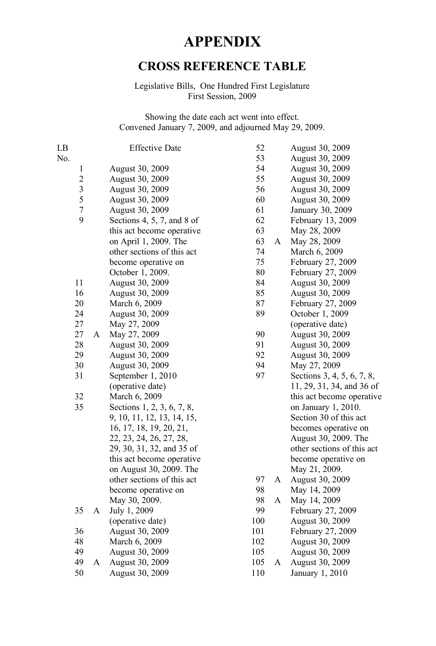## **APPENDIX**

## **CROSS REFERENCE TABLE**

Legislative Bills, One Hundred First Legislature First Session, 2009

Showing the date each act went into effect. Convened January 7, 2009, and adjourned May 29, 2009.

| LB                      |   | <b>Effective Date</b>      | 52  |   | August 30, 2009            |
|-------------------------|---|----------------------------|-----|---|----------------------------|
| No.                     |   |                            | 53  |   | August 30, 2009            |
| 1                       |   | August 30, 2009            | 54  |   | August 30, 2009            |
| $\overline{c}$          |   | August 30, 2009            | 55  |   | August 30, 2009            |
| $\overline{\mathbf{3}}$ |   | August 30, 2009            | 56  |   | August 30, 2009            |
| 5                       |   | August 30, 2009            | 60  |   | August 30, 2009            |
| $\boldsymbol{7}$        |   | August 30, 2009            | 61  |   | January 30, 2009           |
| 9                       |   | Sections 4, 5, 7, and 8 of | 62  |   | February 13, 2009          |
|                         |   | this act become operative  | 63  |   | May 28, 2009               |
|                         |   | on April 1, 2009. The      | 63  | A | May 28, 2009               |
|                         |   | other sections of this act | 74  |   | March 6, 2009              |
|                         |   | become operative on        | 75  |   | February 27, 2009          |
|                         |   | October 1, 2009.           | 80  |   | February 27, 2009          |
| 11                      |   | August 30, 2009            | 84  |   | August 30, 2009            |
| 16                      |   | August 30, 2009            | 85  |   | August 30, 2009            |
| 20                      |   | March 6, 2009              | 87  |   | February 27, 2009          |
| 24                      |   | <b>August 30, 2009</b>     | 89  |   | October 1, 2009            |
| 27                      |   | May 27, 2009               |     |   | (operative date)           |
| 27                      | A | May 27, 2009               | 90  |   | August 30, 2009            |
| 28                      |   | August 30, 2009            | 91  |   | August 30, 2009            |
| 29                      |   | August 30, 2009            | 92  |   | August 30, 2009            |
| 30                      |   | August 30, 2009            | 94  |   | May 27, 2009               |
| 31                      |   | September 1, 2010          | 97  |   | Sections 3, 4, 5, 6, 7, 8, |
|                         |   | (operative date)           |     |   | 11, 29, 31, 34, and 36 of  |
| 32                      |   | March 6, 2009              |     |   | this act become operative  |
| 35                      |   | Sections 1, 2, 3, 6, 7, 8, |     |   | on January 1, 2010.        |
|                         |   | 9, 10, 11, 12, 13, 14, 15, |     |   | Section 30 of this act     |
|                         |   | 16, 17, 18, 19, 20, 21,    |     |   | becomes operative on       |
|                         |   | 22, 23, 24, 26, 27, 28,    |     |   | August 30, 2009. The       |
|                         |   | 29, 30, 31, 32, and 35 of  |     |   | other sections of this act |
|                         |   | this act become operative  |     |   | become operative on        |
|                         |   | on August 30, 2009. The    |     |   | May 21, 2009.              |
|                         |   | other sections of this act | 97  | A | August 30, 2009            |
|                         |   | become operative on        | 98  |   | May 14, 2009               |
|                         |   | May 30, 2009.              | 98  | A | May 14, 2009               |
| 35                      | A | July 1, 2009               | 99  |   | February 27, 2009          |
|                         |   | (operative date)           | 100 |   | August 30, 2009            |
| 36                      |   | August 30, 2009            | 101 |   | February 27, 2009          |
| 48                      |   | March 6, 2009              | 102 |   | August 30, 2009            |
| 49                      |   | August 30, 2009            | 105 |   | August 30, 2009            |
| 49                      | A | August 30, 2009            | 105 | A | August 30, 2009            |
| 50                      |   | August 30, 2009            | 110 |   | January 1, 2010            |
|                         |   |                            |     |   |                            |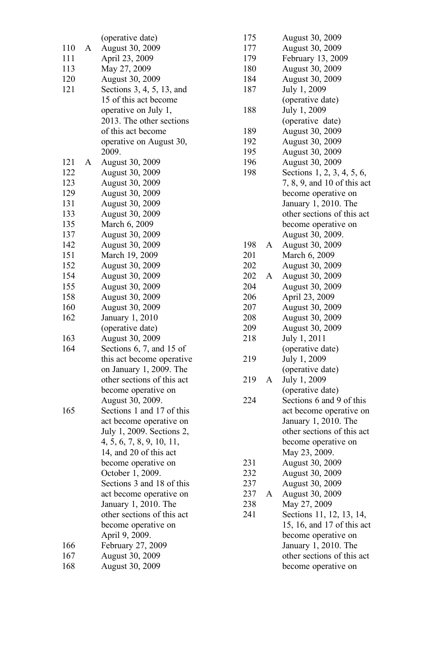|     |              | (operative date)                 |
|-----|--------------|----------------------------------|
| 110 | $\mathsf{A}$ | August 30, 2009                  |
| 111 |              | April 23, 2009                   |
| 113 |              | May 27, 2009                     |
| 120 |              | August 30, 2009                  |
| 121 |              | Sections 3, 4, 5, 13, and        |
|     |              | 15 of this act become            |
|     |              | operative on July 1,             |
|     |              | 2013. The other sections         |
|     |              | of this act become               |
|     |              |                                  |
|     |              | operative on August 30,<br>2009. |
| 121 | A            | August 30, 2009                  |
| 122 |              | August 30, 2009                  |
| 123 |              | August 30, 2009                  |
| 129 |              | August 30, 2009                  |
| 131 |              | August 30, 2009                  |
| 133 |              | August 30, 2009                  |
|     |              | March 6, 2009                    |
| 135 |              |                                  |
| 137 |              | August 30, 2009                  |
| 142 |              | August 30, 2009                  |
| 151 |              | March 19, 2009                   |
| 152 |              | August 30, 2009                  |
| 154 |              | August 30, 2009                  |
| 155 |              | August 30, 2009                  |
| 158 |              | August 30, 2009                  |
| 160 |              | August 30, 2009                  |
| 162 |              | January 1, 2010                  |
|     |              | (operative date)                 |
| 163 |              | August 30, 2009                  |
| 164 |              | Sections 6, 7, and 15 of         |
|     |              | this act become operative        |
|     |              | on January 1, 2009. The          |
|     |              | other sections of this act       |
|     |              | become operative on              |
|     |              | August 30, 2009.                 |
| 165 |              | Sections 1 and 17 of this        |
|     |              | act become operative on          |
|     |              | July 1, 2009. Sections 2,        |
|     |              | 4, 5, 6, 7, 8, 9, 10, 11,        |
|     |              | 14, and 20 of this act           |
|     |              | become operative on              |
|     |              | October 1, 2009.                 |
|     |              | Sections 3 and 18 of this        |
|     |              | act become operative on          |
|     |              | January 1, 2010. The             |
|     |              | other sections of this act       |
|     |              | become operative on              |
|     |              | April 9, 2009.                   |
| 166 |              | February 27, 2009                |
| 167 |              | August 30, 2009                  |
| 168 |              | August 30, 2009                  |
|     |              |                                  |

| 175 |   | August 30, 2009                              |
|-----|---|----------------------------------------------|
| 177 |   | August 30, 2009                              |
| 179 |   | February 13, 2009                            |
| 180 |   | August 30, 2009                              |
| 184 |   | August 30, 2009                              |
| 187 |   | July 1, 2009                                 |
|     |   | (operative date)                             |
| 188 |   | July 1, 2009                                 |
|     |   | (operative date)                             |
| 189 |   | <b>August 30, 2009</b>                       |
| 192 |   | August 30, 2009                              |
| 195 |   | August 30, 2009                              |
| 196 |   | August 30, 2009                              |
| 198 |   | Sections 1, 2, 3, 4, 5, 6,                   |
|     |   | 7, 8, 9, and 10 of this act                  |
|     |   |                                              |
|     |   | become operative on                          |
|     |   | January 1, 2010. The                         |
|     |   | other sections of this act                   |
|     |   | become operative on                          |
|     |   | August 30, 2009.                             |
| 198 | A | August 30, 2009                              |
| 201 |   | March 6, 2009                                |
| 202 |   | August 30, 2009                              |
| 202 | A | August 30, 2009                              |
| 204 |   | August 30, 2009                              |
| 206 |   | April 23, 2009                               |
| 207 |   | August 30, 2009                              |
| 208 |   | August 30, 2009                              |
| 209 |   | August 30, 2009                              |
| 218 |   | July 1, 2011                                 |
|     |   | (operative date)                             |
| 219 |   | July 1, 2009                                 |
|     |   | (operative date)                             |
| 219 | A |                                              |
|     |   | July 1, 2009                                 |
| 224 |   | (operative date)<br>Sections 6 and 9 of this |
|     |   | act become operative on                      |
|     |   | January 1, 2010. The                         |
|     |   | other sections of this act                   |
|     |   |                                              |
|     |   | become operative on                          |
|     |   | May 23, 2009.                                |
| 231 |   | August 30, 2009                              |
| 232 |   | August 30, 2009                              |
| 237 |   | August 30, 2009                              |
| 237 | A | August 30, 2009                              |
| 238 |   | May 27, 2009                                 |
| 241 |   | Sections 11, 12, 13, 14,                     |
|     |   | 15, 16, and 17 of this act                   |
|     |   | become operative on                          |
|     |   | January 1, 2010. The                         |
|     |   | other sections of this act                   |
|     |   | become operative on                          |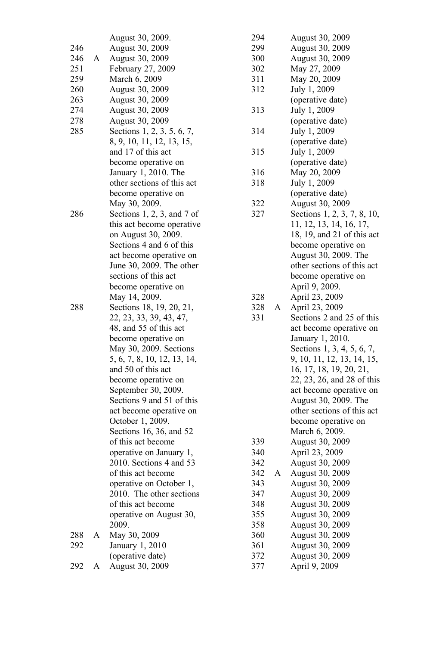|     |   | August 30, 2009.                    | 294        | August 30, 2009                    |
|-----|---|-------------------------------------|------------|------------------------------------|
| 246 |   | August 30, 2009                     | 299        | August 30, 2009                    |
| 246 | A | August 30, 2009                     | 300        | August 30, 2009                    |
| 251 |   | February 27, 2009                   | 302        | May 27, 2009                       |
| 259 |   | March 6, 2009                       | 311        | May 20, 2009                       |
| 260 |   | August 30, 2009                     | 312        | July 1, 2009                       |
| 263 |   | August 30, 2009                     |            | (operative date)                   |
| 274 |   | August 30, 2009                     | 313        | July 1, 2009                       |
| 278 |   | August 30, 2009                     |            | (operative date)                   |
| 285 |   | Sections 1, 2, 3, 5, 6, 7,          | 314        | July 1, 2009                       |
|     |   | 8, 9, 10, 11, 12, 13, 15,           |            | (operative date)                   |
|     |   | and 17 of this act                  | 315        | July 1, 2009                       |
|     |   | become operative on                 |            | (operative date)                   |
|     |   | January 1, 2010. The                | 316        | May 20, 2009                       |
|     |   | other sections of this act          | 318        | July 1, 2009                       |
|     |   | become operative on                 |            | (operative date)                   |
|     |   | May 30, 2009.                       | 322        | August 30, 2009                    |
| 286 |   | Sections $1, 2, 3$ , and $7$ of     | 327        | Sections 1, 2, 3, 7, 8, 10,        |
|     |   | this act become operative           |            | 11, 12, 13, 14, 16, 17,            |
|     |   | on August 30, 2009.                 |            | 18, 19, and 21 of this act         |
|     |   | Sections 4 and 6 of this            |            | become operative on                |
|     |   | act become operative on             |            | August 30, 2009. The               |
|     |   | June 30, 2009. The other            |            | other sections of this act         |
|     |   | sections of this act                |            | become operative on                |
|     |   | become operative on                 |            | April 9, 2009.                     |
|     |   | May 14, 2009.                       | 328        | April 23, 2009                     |
| 288 |   | Sections 18, 19, 20, 21,            | 328<br>A   | April 23, 2009                     |
|     |   | 22, 23, 33, 39, 43, 47,             | 331        | Sections 2 and 25 of this          |
|     |   | 48, and 55 of this act              |            | act become operative on            |
|     |   | become operative on                 |            | January 1, 2010.                   |
|     |   | May 30, 2009. Sections              |            | Sections 1, 3, 4, 5, 6, 7,         |
|     |   | 5, 6, 7, 8, 10, 12, 13, 14,         |            | 9, 10, 11, 12, 13, 14, 15,         |
|     |   | and 50 of this act                  |            | 16, 17, 18, 19, 20, 21,            |
|     |   | become operative on                 |            | 22, 23, 26, and 28 of this         |
|     |   | September 30, 2009.                 |            | act become operative on            |
|     |   | Sections 9 and 51 of this           |            | August 30, 2009. The               |
|     |   | act become operative on             |            | other sections of this act         |
|     |   | October 1, 2009.                    |            | become operative on                |
|     |   | Sections 16, 36, and 52             |            | March 6, 2009.                     |
|     |   | of this act become                  | 339        | August 30, 2009                    |
|     |   | operative on January 1,             | 340        | April 23, 2009                     |
|     |   | 2010. Sections 4 and 53             | 342        | August 30, 2009                    |
|     |   | of this act become                  | 342<br>A   | August 30, 2009                    |
|     |   | operative on October 1,             | 343        | August 30, 2009                    |
|     |   | 2010. The other sections            | 347        | August 30, 2009                    |
|     |   | of this act become                  | 348        | August 30, 2009                    |
|     |   | operative on August 30,             | 355        | August 30, 2009                    |
| 288 |   | 2009.<br>May 30, 2009               | 358<br>360 | August 30, 2009                    |
| 292 | A |                                     | 361        | August 30, 2009<br>August 30, 2009 |
|     |   | January 1, 2010<br>(operative date) | 372        | August 30, 2009                    |
| 292 | A | August 30, 2009                     | 377        | April 9, 2009                      |
|     |   |                                     |            |                                    |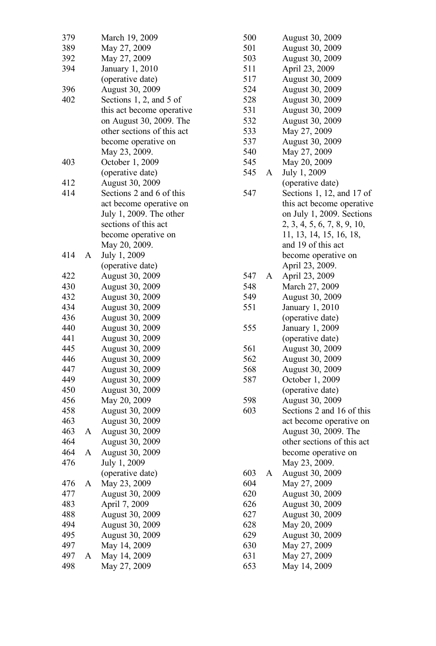| 379 |   | March 19, 2009             |
|-----|---|----------------------------|
| 389 |   | May 27, 2009               |
| 392 |   | May 27, 2009               |
| 394 |   | January 1, 2010            |
|     |   | (operative date)           |
| 396 |   | August 30, 2009            |
| 402 |   | Sections 1, 2, and 5 of    |
|     |   | this act become operative  |
|     |   | on August 30, 2009. The    |
|     |   | other sections of this act |
|     |   |                            |
|     |   | become operative on        |
|     |   | May 23, 2009.              |
| 403 |   | October 1, 2009            |
|     |   | (operative date)           |
| 412 |   | August 30, 2009            |
| 414 |   | Sections 2 and 6 of this   |
|     |   | act become operative on    |
|     |   | July 1, 2009. The other    |
|     |   | sections of this act       |
|     |   | become operative on        |
|     |   | May 20, 2009.              |
| 414 | A | July 1, 2009               |
|     |   | (operative date)           |
| 422 |   | August 30, 2009            |
| 430 |   | August 30, 2009            |
| 432 |   | August 30, 2009            |
| 434 |   | August 30, 2009            |
| 436 |   | August 30, 2009            |
| 440 |   | August 30, 2009            |
|     |   |                            |
| 441 |   | August 30, 2009            |
| 445 |   | August 30, 2009            |
| 446 |   | August 30, 2009            |
| 447 |   | August 30, 2009            |
| 449 |   | August 30, 2009            |
| 450 |   | August 30, 2009            |
| 456 |   | May 20, 2009               |
| 458 |   | August 30, 2009            |
| 463 |   | August 30, 2009            |
| 463 | A | August 30, 2009            |
| 464 |   | August 30, 2009            |
| 464 | A | August 30, 2009            |
| 476 |   | July 1, 2009               |
|     |   | (operative date)           |
| 476 | A | May 23, 2009               |
| 477 |   | August 30, 2009            |
| 483 |   | April 7, 2009              |
| 488 |   | August 30, 2009            |
| 494 |   | August 30, 2009            |
| 495 |   | August 30, 2009            |
| 497 |   | May 14, 2009               |
| 497 | A | May 14, 2009               |
| 498 |   | May 27, 2009               |
|     |   |                            |

| 500 |   | August 30, 2009                   |
|-----|---|-----------------------------------|
| 501 |   | August 30, 2009                   |
| 503 |   | August 30, 2009                   |
| 511 |   | April 23, 2009                    |
| 517 |   | August 30, 2009                   |
| 524 |   | August 30, 2009                   |
| 528 |   | August 30, 2009                   |
| 531 |   | August 30, 2009                   |
| 532 |   |                                   |
| 533 |   | August 30, 2009                   |
|     |   | May 27, 2009                      |
| 537 |   | August 30, 2009                   |
| 540 |   | May 27, 2009                      |
| 545 |   | May 20, 2009                      |
| 545 | A | July 1, 2009                      |
|     |   | (operative date)                  |
| 547 |   | Sections 1, 12, and 17 of         |
|     |   | this act become operative         |
|     |   | on July 1, 2009. Sections         |
|     |   | 2, 3, 4, 5, 6, 7, 8, 9, 10,       |
|     |   | 11, 13, 14, 15, 16, 18,           |
|     |   | and 19 of this act                |
|     |   | become operative on               |
|     |   |                                   |
| 547 | A | April 23, 2009.<br>April 23, 2009 |
|     |   |                                   |
| 548 |   | March 27, 2009                    |
| 549 |   | August 30, 2009                   |
| 551 |   | January 1, 2010                   |
|     |   | (operative date)                  |
| 555 |   | January 1, 2009                   |
|     |   | (operative date)                  |
| 561 |   | August 30, 2009                   |
| 562 |   | August 30, 2009                   |
| 568 |   | August 30, 2009                   |
| 587 |   | October 1, 2009                   |
|     |   | (operative date)                  |
| 598 |   | August 30, 2009                   |
| 603 |   | Sections 2 and 16 of this         |
|     |   | act become operative on           |
|     |   | August 30, 2009. The              |
|     |   | other sections of this act        |
|     |   | become operative on               |
|     |   | May 23, 2009.                     |
|     |   |                                   |
| 603 | A | August 30, 2009                   |
| 604 |   | May 27, 2009                      |
| 620 |   | August 30, 2009                   |
| 626 |   | August 30, 2009                   |
| 627 |   | August 30, 2009                   |
| 628 |   | May 20, 2009                      |
| 629 |   | August 30, 2009                   |
| 630 |   | May 27, 2009                      |
| 631 |   | May 27, 2009                      |
| 653 |   | May 14, 2009                      |
|     |   |                                   |